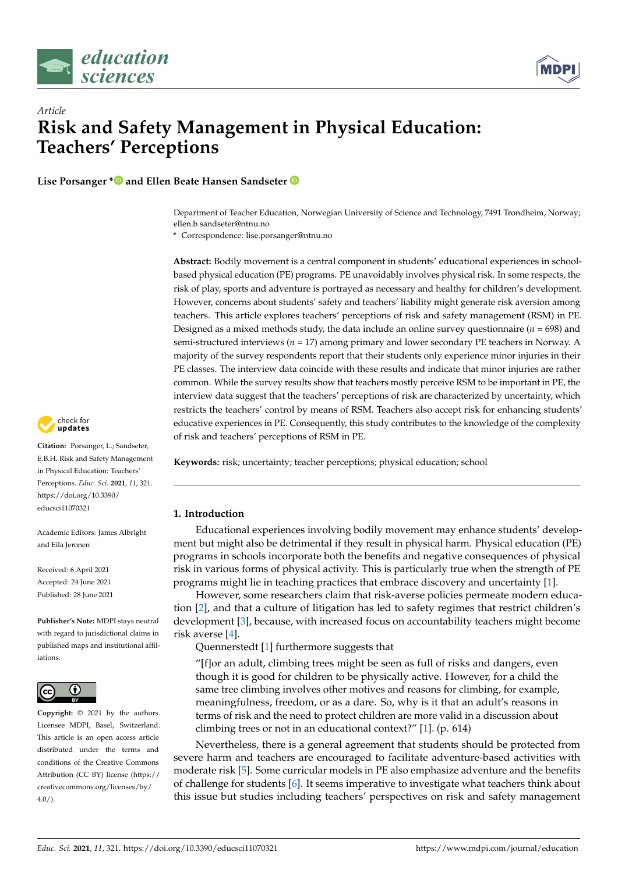



# *Article* **Risk and Safety Management in Physical Education: Teachers' Perceptions**

**Lise Porsanger [\\*](https://orcid.org/0000-0002-4847-2010) and Ellen Beate Hansen Sandseter**

Department of Teacher Education, Norwegian University of Science and Technology, 7491 Trondheim, Norway; ellen.b.sandseter@ntnu.no

**\*** Correspondence: lise.porsanger@ntnu.no

**Abstract:** Bodily movement is a central component in students' educational experiences in schoolbased physical education (PE) programs. PE unavoidably involves physical risk. In some respects, the risk of play, sports and adventure is portrayed as necessary and healthy for children's development. However, concerns about students' safety and teachers' liability might generate risk aversion among teachers. This article explores teachers' perceptions of risk and safety management (RSM) in PE. Designed as a mixed methods study, the data include an online survey questionnaire  $(n = 698)$  and semi-structured interviews (*n* = 17) among primary and lower secondary PE teachers in Norway. A majority of the survey respondents report that their students only experience minor injuries in their PE classes. The interview data coincide with these results and indicate that minor injuries are rather common. While the survey results show that teachers mostly perceive RSM to be important in PE, the interview data suggest that the teachers' perceptions of risk are characterized by uncertainty, which restricts the teachers' control by means of RSM. Teachers also accept risk for enhancing students' educative experiences in PE. Consequently, this study contributes to the knowledge of the complexity of risk and teachers' perceptions of RSM in PE.

**Keywords:** risk; uncertainty; teacher perceptions; physical education; school

# **1. Introduction**

Educational experiences involving bodily movement may enhance students' development but might also be detrimental if they result in physical harm. Physical education (PE) programs in schools incorporate both the benefits and negative consequences of physical risk in various forms of physical activity. This is particularly true when the strength of PE programs might lie in teaching practices that embrace discovery and uncertainty [\[1\]](#page-12-0).

However, some researchers claim that risk-averse policies permeate modern education [\[2\]](#page-12-1), and that a culture of litigation has led to safety regimes that restrict children's development [\[3\]](#page-12-2), because, with increased focus on accountability teachers might become risk averse [\[4\]](#page-12-3).

Quennerstedt [\[1\]](#page-12-0) furthermore suggests that

"[f]or an adult, climbing trees might be seen as full of risks and dangers, even though it is good for children to be physically active. However, for a child the same tree climbing involves other motives and reasons for climbing, for example, meaningfulness, freedom, or as a dare. So, why is it that an adult's reasons in terms of risk and the need to protect children are more valid in a discussion about climbing trees or not in an educational context?" [\[1\]](#page-12-0). (p. 614)

Nevertheless, there is a general agreement that students should be protected from severe harm and teachers are encouraged to facilitate adventure-based activities with moderate risk [\[5\]](#page-12-4). Some curricular models in PE also emphasize adventure and the benefits of challenge for students [\[6\]](#page-12-5). It seems imperative to investigate what teachers think about this issue but studies including teachers' perspectives on risk and safety management



**Citation:** Porsanger, L.; Sandseter, E.B.H. Risk and Safety Management in Physical Education: Teachers' Perceptions. *Educ. Sci.* **2021**, *11*, 321. [https://doi.org/10.3390/](https://doi.org/10.3390/educsci11070321) [educsci11070321](https://doi.org/10.3390/educsci11070321)

Academic Editors: James Albright and Eila Jeronen

Received: 6 April 2021 Accepted: 24 June 2021 Published: 28 June 2021

**Publisher's Note:** MDPI stays neutral with regard to jurisdictional claims in published maps and institutional affiliations.



**Copyright:** © 2021 by the authors. Licensee MDPI, Basel, Switzerland. This article is an open access article distributed under the terms and conditions of the Creative Commons Attribution (CC BY) license (https:/[/](https://creativecommons.org/licenses/by/4.0/) [creativecommons.org/licenses/by/](https://creativecommons.org/licenses/by/4.0/)  $4.0/$ ).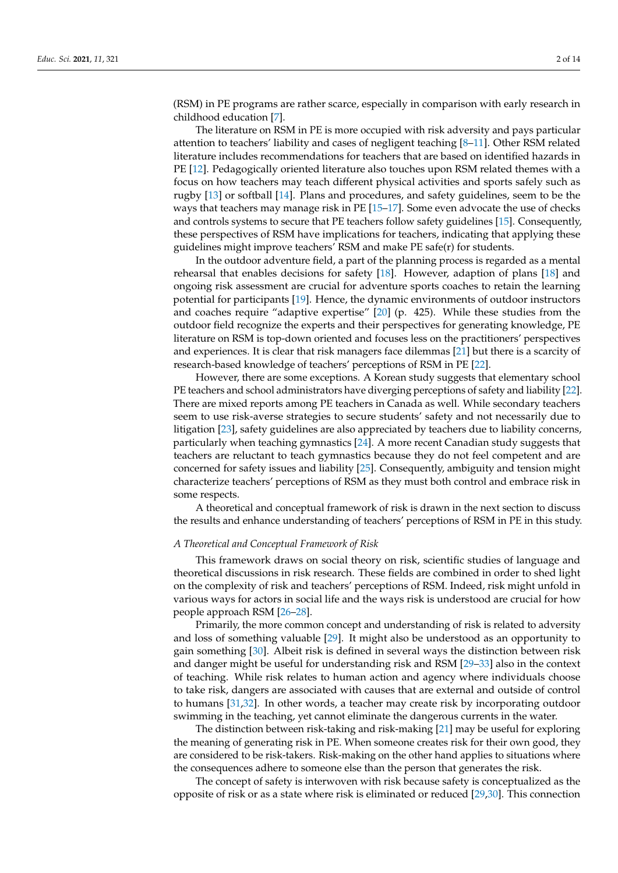(RSM) in PE programs are rather scarce, especially in comparison with early research in childhood education [\[7\]](#page-12-6).

The literature on RSM in PE is more occupied with risk adversity and pays particular attention to teachers' liability and cases of negligent teaching [\[8](#page-12-7)[–11\]](#page-12-8). Other RSM related literature includes recommendations for teachers that are based on identified hazards in PE [\[12\]](#page-12-9). Pedagogically oriented literature also touches upon RSM related themes with a focus on how teachers may teach different physical activities and sports safely such as rugby [\[13\]](#page-12-10) or softball [\[14\]](#page-12-11). Plans and procedures, and safety guidelines, seem to be the ways that teachers may manage risk in PE [\[15–](#page-12-12)[17\]](#page-12-13). Some even advocate the use of checks and controls systems to secure that PE teachers follow safety guidelines [\[15\]](#page-12-12). Consequently, these perspectives of RSM have implications for teachers, indicating that applying these guidelines might improve teachers' RSM and make PE safe(r) for students.

In the outdoor adventure field, a part of the planning process is regarded as a mental rehearsal that enables decisions for safety [\[18\]](#page-12-14). However, adaption of plans [\[18\]](#page-12-14) and ongoing risk assessment are crucial for adventure sports coaches to retain the learning potential for participants [\[19\]](#page-12-15). Hence, the dynamic environments of outdoor instructors and coaches require "adaptive expertise" [\[20\]](#page-12-16) (p. 425). While these studies from the outdoor field recognize the experts and their perspectives for generating knowledge, PE literature on RSM is top-down oriented and focuses less on the practitioners' perspectives and experiences. It is clear that risk managers face dilemmas [\[21\]](#page-12-17) but there is a scarcity of research-based knowledge of teachers' perceptions of RSM in PE [\[22\]](#page-12-18).

However, there are some exceptions. A Korean study suggests that elementary school PE teachers and school administrators have diverging perceptions of safety and liability [\[22\]](#page-12-18). There are mixed reports among PE teachers in Canada as well. While secondary teachers seem to use risk-averse strategies to secure students' safety and not necessarily due to litigation [\[23\]](#page-12-19), safety guidelines are also appreciated by teachers due to liability concerns, particularly when teaching gymnastics [\[24\]](#page-12-20). A more recent Canadian study suggests that teachers are reluctant to teach gymnastics because they do not feel competent and are concerned for safety issues and liability [\[25\]](#page-12-21). Consequently, ambiguity and tension might characterize teachers' perceptions of RSM as they must both control and embrace risk in some respects.

A theoretical and conceptual framework of risk is drawn in the next section to discuss the results and enhance understanding of teachers' perceptions of RSM in PE in this study.

## *A Theoretical and Conceptual Framework of Risk*

This framework draws on social theory on risk, scientific studies of language and theoretical discussions in risk research. These fields are combined in order to shed light on the complexity of risk and teachers' perceptions of RSM. Indeed, risk might unfold in various ways for actors in social life and the ways risk is understood are crucial for how people approach RSM [\[26](#page-12-22)[–28\]](#page-12-23).

Primarily, the more common concept and understanding of risk is related to adversity and loss of something valuable [\[29\]](#page-12-24). It might also be understood as an opportunity to gain something [\[30\]](#page-12-25). Albeit risk is defined in several ways the distinction between risk and danger might be useful for understanding risk and RSM [\[29–](#page-12-24)[33\]](#page-12-26) also in the context of teaching. While risk relates to human action and agency where individuals choose to take risk, dangers are associated with causes that are external and outside of control to humans [\[31](#page-12-27)[,32\]](#page-12-28). In other words, a teacher may create risk by incorporating outdoor swimming in the teaching, yet cannot eliminate the dangerous currents in the water.

The distinction between risk-taking and risk-making [\[21\]](#page-12-17) may be useful for exploring the meaning of generating risk in PE. When someone creates risk for their own good, they are considered to be risk-takers. Risk-making on the other hand applies to situations where the consequences adhere to someone else than the person that generates the risk.

The concept of safety is interwoven with risk because safety is conceptualized as the opposite of risk or as a state where risk is eliminated or reduced [\[29](#page-12-24)[,30\]](#page-12-25). This connection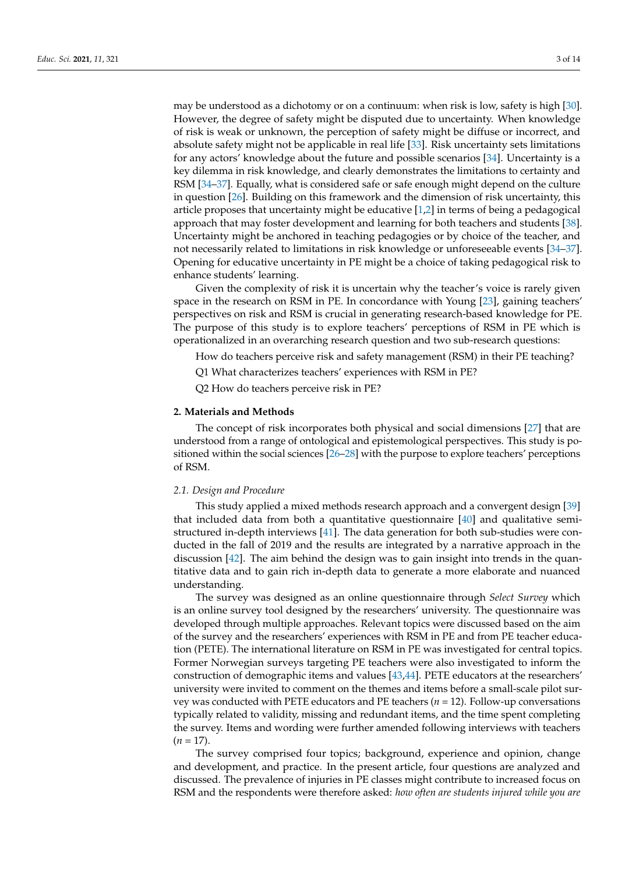may be understood as a dichotomy or on a continuum: when risk is low, safety is high [\[30\]](#page-12-25). However, the degree of safety might be disputed due to uncertainty. When knowledge of risk is weak or unknown, the perception of safety might be diffuse or incorrect, and absolute safety might not be applicable in real life [\[33\]](#page-12-26). Risk uncertainty sets limitations for any actors' knowledge about the future and possible scenarios [\[34\]](#page-12-29). Uncertainty is a key dilemma in risk knowledge, and clearly demonstrates the limitations to certainty and RSM [\[34–](#page-12-29)[37\]](#page-13-0). Equally, what is considered safe or safe enough might depend on the culture in question [\[26\]](#page-12-22). Building on this framework and the dimension of risk uncertainty, this article proposes that uncertainty might be educative [\[1](#page-12-0)[,2\]](#page-12-1) in terms of being a pedagogical approach that may foster development and learning for both teachers and students [\[38\]](#page-13-1). Uncertainty might be anchored in teaching pedagogies or by choice of the teacher, and not necessarily related to limitations in risk knowledge or unforeseeable events [\[34](#page-12-29)[–37\]](#page-13-0). Opening for educative uncertainty in PE might be a choice of taking pedagogical risk to enhance students' learning.

Given the complexity of risk it is uncertain why the teacher's voice is rarely given space in the research on RSM in PE. In concordance with Young [\[23\]](#page-12-19), gaining teachers' perspectives on risk and RSM is crucial in generating research-based knowledge for PE. The purpose of this study is to explore teachers' perceptions of RSM in PE which is operationalized in an overarching research question and two sub-research questions:

How do teachers perceive risk and safety management (RSM) in their PE teaching?

Q1 What characterizes teachers' experiences with RSM in PE?

Q2 How do teachers perceive risk in PE?

#### **2. Materials and Methods**

The concept of risk incorporates both physical and social dimensions [\[27\]](#page-12-30) that are understood from a range of ontological and epistemological perspectives. This study is positioned within the social sciences [\[26](#page-12-22)[–28\]](#page-12-23) with the purpose to explore teachers' perceptions of RSM.

#### *2.1. Design and Procedure*

This study applied a mixed methods research approach and a convergent design [\[39\]](#page-13-2) that included data from both a quantitative questionnaire [\[40\]](#page-13-3) and qualitative semistructured in-depth interviews [\[41\]](#page-13-4). The data generation for both sub-studies were conducted in the fall of 2019 and the results are integrated by a narrative approach in the discussion [\[42\]](#page-13-5). The aim behind the design was to gain insight into trends in the quantitative data and to gain rich in-depth data to generate a more elaborate and nuanced understanding.

The survey was designed as an online questionnaire through *Select Survey* which is an online survey tool designed by the researchers' university. The questionnaire was developed through multiple approaches. Relevant topics were discussed based on the aim of the survey and the researchers' experiences with RSM in PE and from PE teacher education (PETE). The international literature on RSM in PE was investigated for central topics. Former Norwegian surveys targeting PE teachers were also investigated to inform the construction of demographic items and values [\[43,](#page-13-6)[44\]](#page-13-7). PETE educators at the researchers' university were invited to comment on the themes and items before a small-scale pilot survey was conducted with PETE educators and PE teachers (*n* = 12). Follow-up conversations typically related to validity, missing and redundant items, and the time spent completing the survey. Items and wording were further amended following interviews with teachers  $(n = 17)$ .

The survey comprised four topics; background, experience and opinion, change and development, and practice. In the present article, four questions are analyzed and discussed. The prevalence of injuries in PE classes might contribute to increased focus on RSM and the respondents were therefore asked: *how often are students injured while you are*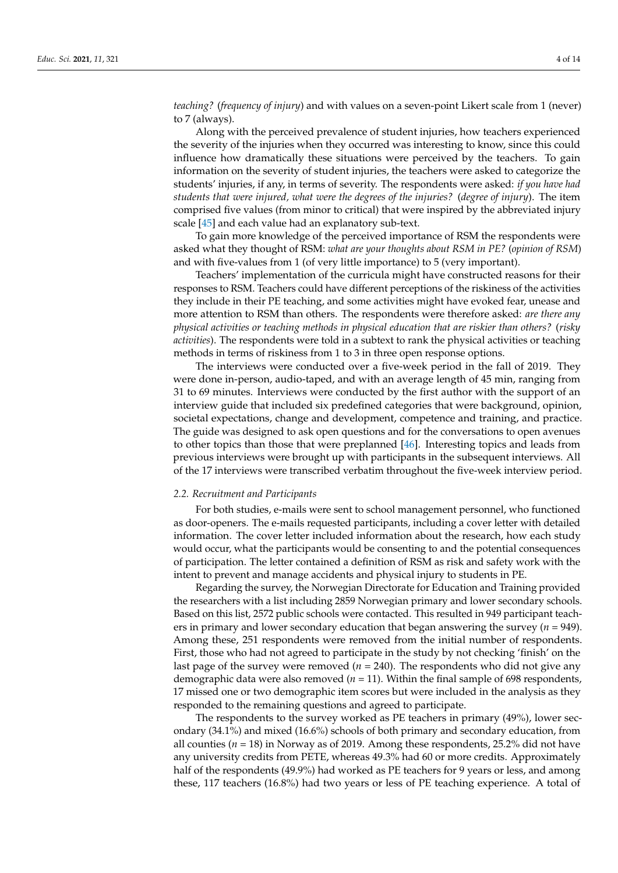# *teaching?* (*frequency of injury*) and with values on a seven-point Likert scale from 1 (never) to 7 (always).

Along with the perceived prevalence of student injuries, how teachers experienced the severity of the injuries when they occurred was interesting to know, since this could influence how dramatically these situations were perceived by the teachers. To gain information on the severity of student injuries, the teachers were asked to categorize the students' injuries, if any, in terms of severity. The respondents were asked: *if you have had students that were injured, what were the degrees of the injuries?* (*degree of injury*). The item comprised five values (from minor to critical) that were inspired by the abbreviated injury scale [\[45\]](#page-13-8) and each value had an explanatory sub-text.

To gain more knowledge of the perceived importance of RSM the respondents were asked what they thought of RSM: *what are your thoughts about RSM in PE?* (*opinion of RSM*) and with five-values from 1 (of very little importance) to 5 (very important).

Teachers' implementation of the curricula might have constructed reasons for their responses to RSM. Teachers could have different perceptions of the riskiness of the activities they include in their PE teaching, and some activities might have evoked fear, unease and more attention to RSM than others. The respondents were therefore asked: *are there any physical activities or teaching methods in physical education that are riskier than others?* (*risky activities*). The respondents were told in a subtext to rank the physical activities or teaching methods in terms of riskiness from 1 to 3 in three open response options.

The interviews were conducted over a five-week period in the fall of 2019. They were done in-person, audio-taped, and with an average length of 45 min, ranging from 31 to 69 minutes. Interviews were conducted by the first author with the support of an interview guide that included six predefined categories that were background, opinion, societal expectations, change and development, competence and training, and practice. The guide was designed to ask open questions and for the conversations to open avenues to other topics than those that were preplanned [\[46\]](#page-13-9). Interesting topics and leads from previous interviews were brought up with participants in the subsequent interviews. All of the 17 interviews were transcribed verbatim throughout the five-week interview period.

#### *2.2. Recruitment and Participants*

For both studies, e-mails were sent to school management personnel, who functioned as door-openers. The e-mails requested participants, including a cover letter with detailed information. The cover letter included information about the research, how each study would occur, what the participants would be consenting to and the potential consequences of participation. The letter contained a definition of RSM as risk and safety work with the intent to prevent and manage accidents and physical injury to students in PE.

Regarding the survey, the Norwegian Directorate for Education and Training provided the researchers with a list including 2859 Norwegian primary and lower secondary schools. Based on this list, 2572 public schools were contacted. This resulted in 949 participant teachers in primary and lower secondary education that began answering the survey ( $n = 949$ ). Among these, 251 respondents were removed from the initial number of respondents. First, those who had not agreed to participate in the study by not checking 'finish' on the last page of the survey were removed  $(n = 240)$ . The respondents who did not give any demographic data were also removed  $(n = 11)$ . Within the final sample of 698 respondents, 17 missed one or two demographic item scores but were included in the analysis as they responded to the remaining questions and agreed to participate.

The respondents to the survey worked as PE teachers in primary (49%), lower secondary (34.1%) and mixed (16.6%) schools of both primary and secondary education, from all counties  $(n = 18)$  in Norway as of 2019. Among these respondents, 25.2% did not have any university credits from PETE, whereas 49.3% had 60 or more credits. Approximately half of the respondents (49.9%) had worked as PE teachers for 9 years or less, and among these, 117 teachers (16.8%) had two years or less of PE teaching experience. A total of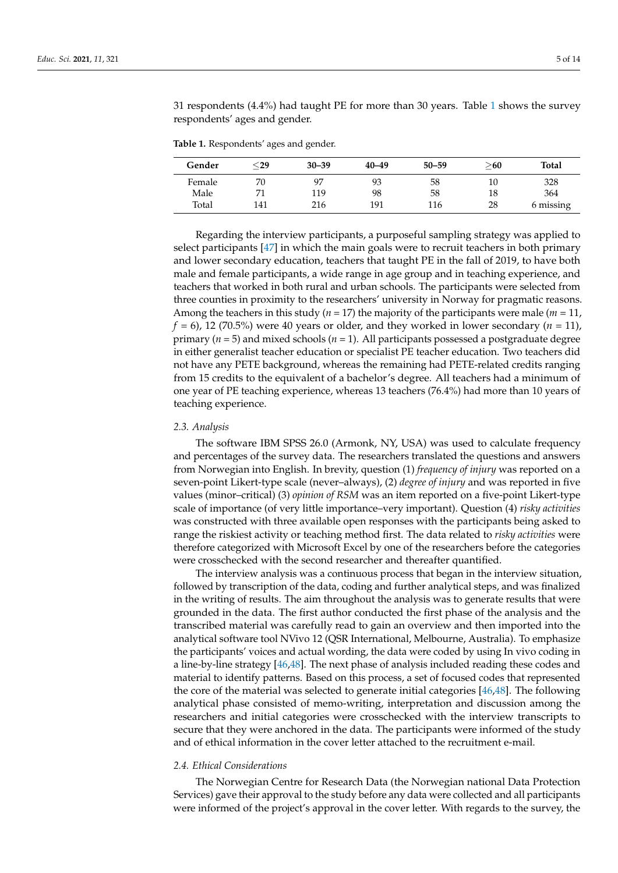31 respondents (4.4%) had taught PE for more than 30 years. Table [1](#page-4-0) shows the survey respondents' ages and gender.

<span id="page-4-0"></span>**Table 1.** Respondents' ages and gender.

| Gender | ${<}29$ | $30 - 39$ | $40 - 49$ | $50 - 59$ | $>\!\!60$ | Total     |
|--------|---------|-----------|-----------|-----------|-----------|-----------|
| Female | 70      | 97        | 93        | 58        | 10        | 328       |
| Male   | 71      | 119       | 98        | 58        | 18        | 364       |
| Total  | 141     | 216       | 191       | 116       | 28        | 6 missing |

Regarding the interview participants, a purposeful sampling strategy was applied to select participants [\[47\]](#page-13-10) in which the main goals were to recruit teachers in both primary and lower secondary education, teachers that taught PE in the fall of 2019, to have both male and female participants, a wide range in age group and in teaching experience, and teachers that worked in both rural and urban schools. The participants were selected from three counties in proximity to the researchers' university in Norway for pragmatic reasons. Among the teachers in this study ( $n = 17$ ) the majority of the participants were male ( $m = 11$ ,  $f = 6$ ), 12 (70.5%) were 40 years or older, and they worked in lower secondary ( $n = 11$ ), primary (*n* = 5) and mixed schools (*n* = 1). All participants possessed a postgraduate degree in either generalist teacher education or specialist PE teacher education. Two teachers did not have any PETE background, whereas the remaining had PETE-related credits ranging from 15 credits to the equivalent of a bachelor's degree. All teachers had a minimum of one year of PE teaching experience, whereas 13 teachers (76.4%) had more than 10 years of teaching experience.

## *2.3. Analysis*

The software IBM SPSS 26.0 (Armonk, NY, USA) was used to calculate frequency and percentages of the survey data. The researchers translated the questions and answers from Norwegian into English. In brevity, question (1) *frequency of injury* was reported on a seven-point Likert-type scale (never–always), (2) *degree of injury* and was reported in five values (minor–critical) (3) *opinion of RSM* was an item reported on a five-point Likert-type scale of importance (of very little importance–very important). Question (4) *risky activities* was constructed with three available open responses with the participants being asked to range the riskiest activity or teaching method first. The data related to *risky activities* were therefore categorized with Microsoft Excel by one of the researchers before the categories were crosschecked with the second researcher and thereafter quantified.

The interview analysis was a continuous process that began in the interview situation, followed by transcription of the data, coding and further analytical steps, and was finalized in the writing of results. The aim throughout the analysis was to generate results that were grounded in the data. The first author conducted the first phase of the analysis and the transcribed material was carefully read to gain an overview and then imported into the analytical software tool NVivo 12 (QSR International, Melbourne, Australia). To emphasize the participants' voices and actual wording, the data were coded by using In vivo coding in a line-by-line strategy [\[46,](#page-13-9)[48\]](#page-13-11). The next phase of analysis included reading these codes and material to identify patterns. Based on this process, a set of focused codes that represented the core of the material was selected to generate initial categories [\[46,](#page-13-9)[48\]](#page-13-11). The following analytical phase consisted of memo-writing, interpretation and discussion among the researchers and initial categories were crosschecked with the interview transcripts to secure that they were anchored in the data. The participants were informed of the study and of ethical information in the cover letter attached to the recruitment e-mail.

## *2.4. Ethical Considerations*

The Norwegian Centre for Research Data (the Norwegian national Data Protection Services) gave their approval to the study before any data were collected and all participants were informed of the project's approval in the cover letter. With regards to the survey, the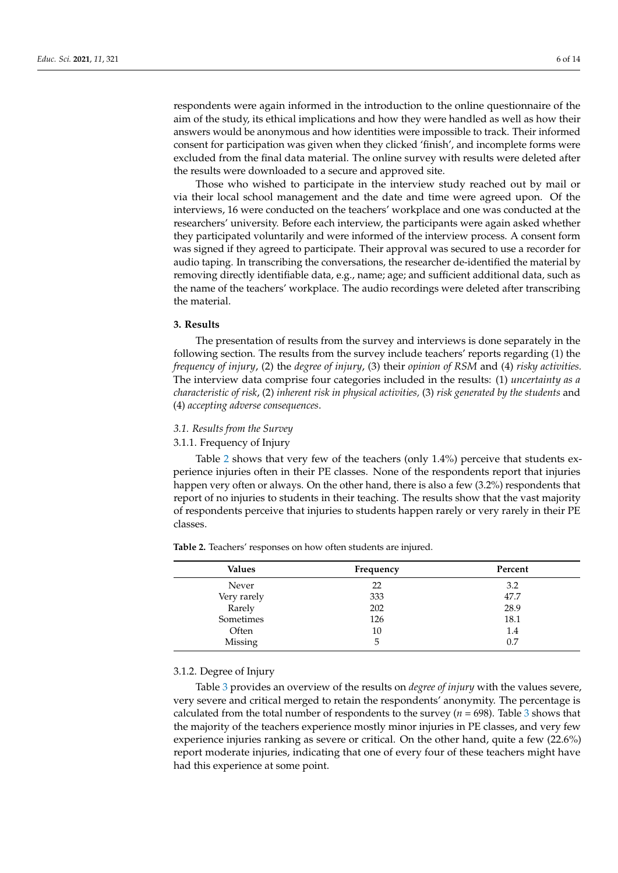respondents were again informed in the introduction to the online questionnaire of the aim of the study, its ethical implications and how they were handled as well as how their answers would be anonymous and how identities were impossible to track. Their informed consent for participation was given when they clicked 'finish', and incomplete forms were excluded from the final data material. The online survey with results were deleted after the results were downloaded to a secure and approved site.

Those who wished to participate in the interview study reached out by mail or via their local school management and the date and time were agreed upon. Of the interviews, 16 were conducted on the teachers' workplace and one was conducted at the researchers' university. Before each interview, the participants were again asked whether they participated voluntarily and were informed of the interview process. A consent form was signed if they agreed to participate. Their approval was secured to use a recorder for audio taping. In transcribing the conversations, the researcher de-identified the material by removing directly identifiable data, e.g., name; age; and sufficient additional data, such as the name of the teachers' workplace. The audio recordings were deleted after transcribing the material.

## **3. Results**

The presentation of results from the survey and interviews is done separately in the following section. The results from the survey include teachers' reports regarding (1) the *frequency of injury*, (2) the *degree of injury*, (3) their *opinion of RSM* and (4) *risky activities.* The interview data comprise four categories included in the results: (1) *uncertainty as a characteristic of risk*, (2) *inherent risk in physical activities,* (3) *risk generated by the students* and (4) *accepting adverse consequences*.

## *3.1. Results from the Survey*

#### 3.1.1. Frequency of Injury

Table [2](#page-5-0) shows that very few of the teachers (only 1.4%) perceive that students experience injuries often in their PE classes. None of the respondents report that injuries happen very often or always. On the other hand, there is also a few (3.2%) respondents that report of no injuries to students in their teaching. The results show that the vast majority of respondents perceive that injuries to students happen rarely or very rarely in their PE classes.

| <b>Values</b> | Frequency | Percent |
|---------------|-----------|---------|
| Never         | 22        | 3.2     |
| Very rarely   | 333       | 47.7    |
| Rarely        | 202       | 28.9    |
| Sometimes     | 126       | 18.1    |
| Often         | 10        | 1.4     |
| Missing       | ц         | 0.7     |

<span id="page-5-0"></span>**Table 2.** Teachers' responses on how often students are injured.

#### 3.1.2. Degree of Injury

Table [3](#page-6-0) provides an overview of the results on *degree of injury* with the values severe, very severe and critical merged to retain the respondents' anonymity. The percentage is calculated from the total number of respondents to the survey (*n* = 698). Table [3](#page-6-0) shows that the majority of the teachers experience mostly minor injuries in PE classes, and very few experience injuries ranking as severe or critical. On the other hand, quite a few (22.6%) report moderate injuries, indicating that one of every four of these teachers might have had this experience at some point.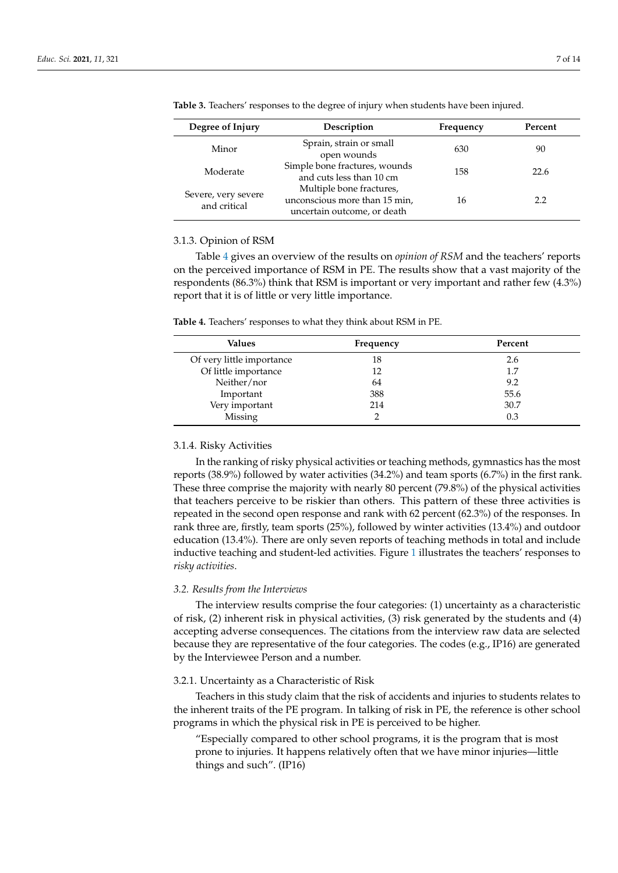| Degree of Injury                    | Description                                                                              | Frequency | Percent |
|-------------------------------------|------------------------------------------------------------------------------------------|-----------|---------|
| Minor                               | Sprain, strain or small<br>open wounds                                                   | 630       | 90      |
| Moderate                            | Simple bone fractures, wounds<br>and cuts less than 10 cm                                | 158       | 22.6    |
| Severe, very severe<br>and critical | Multiple bone fractures,<br>unconscious more than 15 min,<br>uncertain outcome, or death | 16        | 2.2     |

<span id="page-6-0"></span>**Table 3.** Teachers' responses to the degree of injury when students have been injured.

#### 3.1.3. Opinion of RSM

Table [4](#page-6-1) gives an overview of the results on *opinion of RSM* and the teachers' reports on the perceived importance of RSM in PE. The results show that a vast majority of the respondents (86.3%) think that RSM is important or very important and rather few (4.3%) report that it is of little or very little importance.

<span id="page-6-1"></span>

|  | Table 4. Teachers' responses to what they think about RSM in PE. |  |  |  |
|--|------------------------------------------------------------------|--|--|--|
|--|------------------------------------------------------------------|--|--|--|

| Values                    | Frequency | Percent |
|---------------------------|-----------|---------|
| Of very little importance | 18        | 2.6     |
| Of little importance      | 12        | 1.7     |
| Neither/nor               | 64        | 9.2     |
| Important                 | 388       | 55.6    |
| Very important            | 214       | 30.7    |
| Missing                   |           | 0.3     |

## 3.1.4. Risky Activities

In the ranking of risky physical activities or teaching methods, gymnastics has the most reports (38.9%) followed by water activities (34.2%) and team sports (6.7%) in the first rank. These three comprise the majority with nearly 80 percent (79.8%) of the physical activities that teachers perceive to be riskier than others. This pattern of these three activities is repeated in the second open response and rank with 62 percent (62.3%) of the responses. In rank three are, firstly, team sports (25%), followed by winter activities (13.4%) and outdoor education (13.4%). There are only seven reports of teaching methods in total and include inductive teaching and student-led activities. Figure [1](#page-7-0) illustrates the teachers' responses to *risky activities*.

#### *3.2. Results from the Interviews*

The interview results comprise the four categories: (1) uncertainty as a characteristic of risk, (2) inherent risk in physical activities, (3) risk generated by the students and (4) accepting adverse consequences. The citations from the interview raw data are selected because they are representative of the four categories. The codes (e.g., IP16) are generated by the Interviewee Person and a number.

## 3.2.1. Uncertainty as a Characteristic of Risk

Teachers in this study claim that the risk of accidents and injuries to students relates to the inherent traits of the PE program. In talking of risk in PE, the reference is other school programs in which the physical risk in PE is perceived to be higher.

"Especially compared to other school programs, it is the program that is most prone to injuries. It happens relatively often that we have minor injuries—little things and such". (IP16)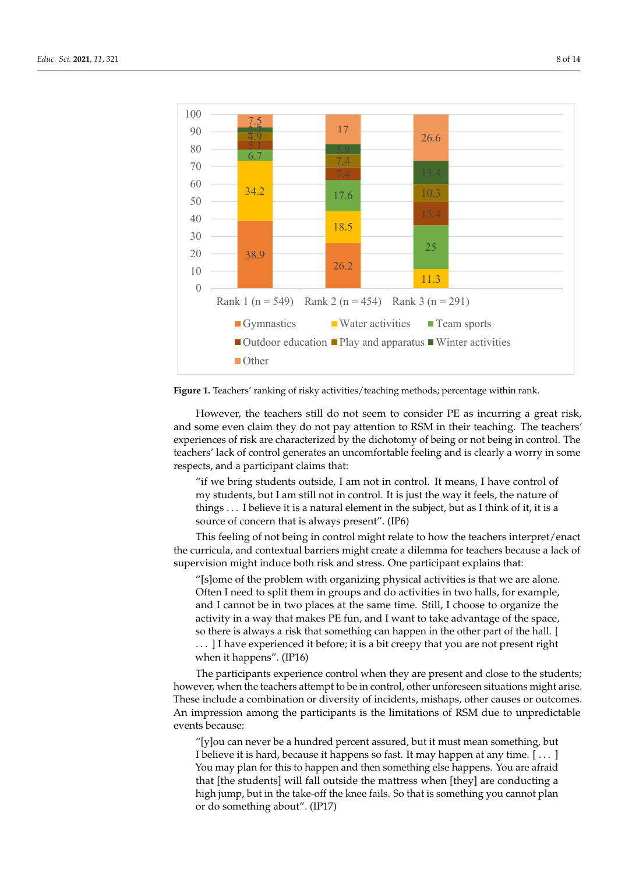<span id="page-7-0"></span>



However, the teachers still do not seem to consider PE as incurring a great risk, and some even claim they do not pay attention to RSM in their teaching. The teachers' experiences of risk are characterized by the dichotomy of being or not being in control. The teachers' lack of control generates an uncomfortable feeling and is clearly a worry in some respects, and a participant claims that:

"if we bring students outside, I am not in control. It means, I have control of things . . . I believe it is a natural element in the subject, but as I think of it, it is a source of concern that is always present". (IP6) my students, but I am still not in control. It is just the way it feels, the nature of

This feeling of not being in control might relate to how the teachers interpret/enact the curricula, and contextual barriers might create a dilemma for teachers because a lack of supervision might induce both risk and stress. One participant explains that:

"[s]ome of the problem with organizing physical activities is that we are alone. "[s]ome of the problem with organizing physical activities is that we are alone.<br>Often I need to split them in groups and do activities in two halls, for example, and I cannot be in two places at the same time. Still, I choose to organize the activity in a way that makes PE fun, and I want to take advantage of the space, so there is always a risk that something can happen in the other part of the hall. [  $\dots$  ] I have experienced it before; it is a bit creepy that you are not present right

when it happens". (IP16)

The participants experience control when they are present and close to the students; however, when the teachers attempt to be in control, other unforeseen situations might arise.<br>
T These include a combination or diversity of incidents, mishaps, other causes or outcomes. An impression among the participants is the limitations of RSM due to unpredictable This feeling of not being in control might relate to how the teachers interpret/enact events because:

"[y]ou can never be a hundred percent assured, but it must mean something, but  $\frac{1}{2}$ I believe it is hard, because it happens so fast. It may happen at any time. [...] that [the students] will fall outside the mattress when [they] are conducting a high jump, but in the take-off the knee fails. So that is something you cannot plan or do something about". (IP17)  $\frac{1}{2}$ You may plan for this to happen and then something else happens. You are afraid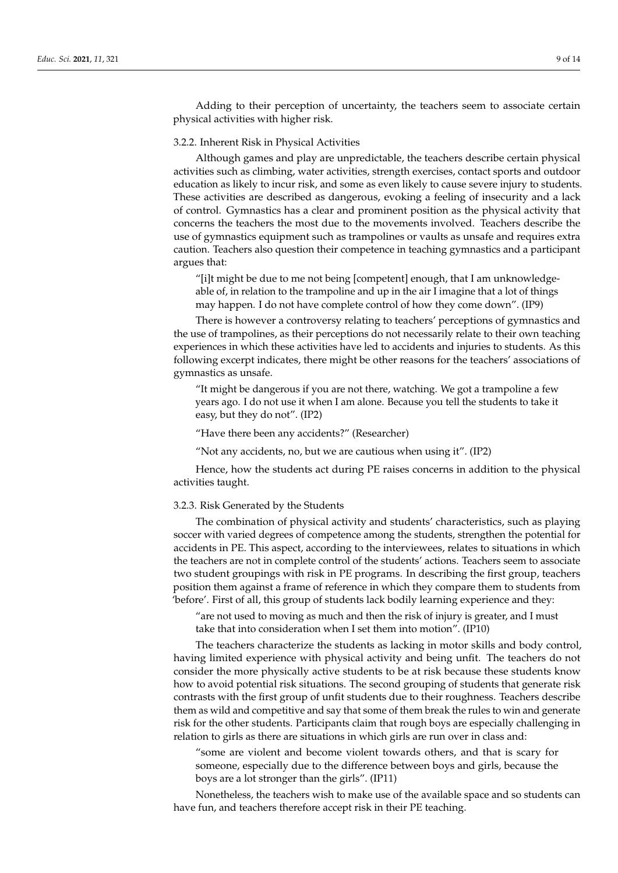Adding to their perception of uncertainty, the teachers seem to associate certain physical activities with higher risk.

## 3.2.2. Inherent Risk in Physical Activities

Although games and play are unpredictable, the teachers describe certain physical activities such as climbing, water activities, strength exercises, contact sports and outdoor education as likely to incur risk, and some as even likely to cause severe injury to students. These activities are described as dangerous, evoking a feeling of insecurity and a lack of control. Gymnastics has a clear and prominent position as the physical activity that concerns the teachers the most due to the movements involved. Teachers describe the use of gymnastics equipment such as trampolines or vaults as unsafe and requires extra caution. Teachers also question their competence in teaching gymnastics and a participant argues that:

"[i]t might be due to me not being [competent] enough, that I am unknowledgeable of, in relation to the trampoline and up in the air I imagine that a lot of things may happen. I do not have complete control of how they come down". (IP9)

There is however a controversy relating to teachers' perceptions of gymnastics and the use of trampolines, as their perceptions do not necessarily relate to their own teaching experiences in which these activities have led to accidents and injuries to students. As this following excerpt indicates, there might be other reasons for the teachers' associations of gymnastics as unsafe.

"It might be dangerous if you are not there, watching. We got a trampoline a few years ago. I do not use it when I am alone. Because you tell the students to take it easy, but they do not". (IP2)

"Have there been any accidents?" (Researcher)

"Not any accidents, no, but we are cautious when using it".  $(IP2)$ 

Hence, how the students act during PE raises concerns in addition to the physical activities taught.

#### 3.2.3. Risk Generated by the Students

The combination of physical activity and students' characteristics, such as playing soccer with varied degrees of competence among the students, strengthen the potential for accidents in PE. This aspect, according to the interviewees, relates to situations in which the teachers are not in complete control of the students' actions. Teachers seem to associate two student groupings with risk in PE programs. In describing the first group, teachers position them against a frame of reference in which they compare them to students from 'before'. First of all, this group of students lack bodily learning experience and they:

"are not used to moving as much and then the risk of injury is greater, and I must take that into consideration when I set them into motion". (IP10)

The teachers characterize the students as lacking in motor skills and body control, having limited experience with physical activity and being unfit. The teachers do not consider the more physically active students to be at risk because these students know how to avoid potential risk situations. The second grouping of students that generate risk contrasts with the first group of unfit students due to their roughness. Teachers describe them as wild and competitive and say that some of them break the rules to win and generate risk for the other students. Participants claim that rough boys are especially challenging in relation to girls as there are situations in which girls are run over in class and:

"some are violent and become violent towards others, and that is scary for someone, especially due to the difference between boys and girls, because the boys are a lot stronger than the girls". (IP11)

Nonetheless, the teachers wish to make use of the available space and so students can have fun, and teachers therefore accept risk in their PE teaching.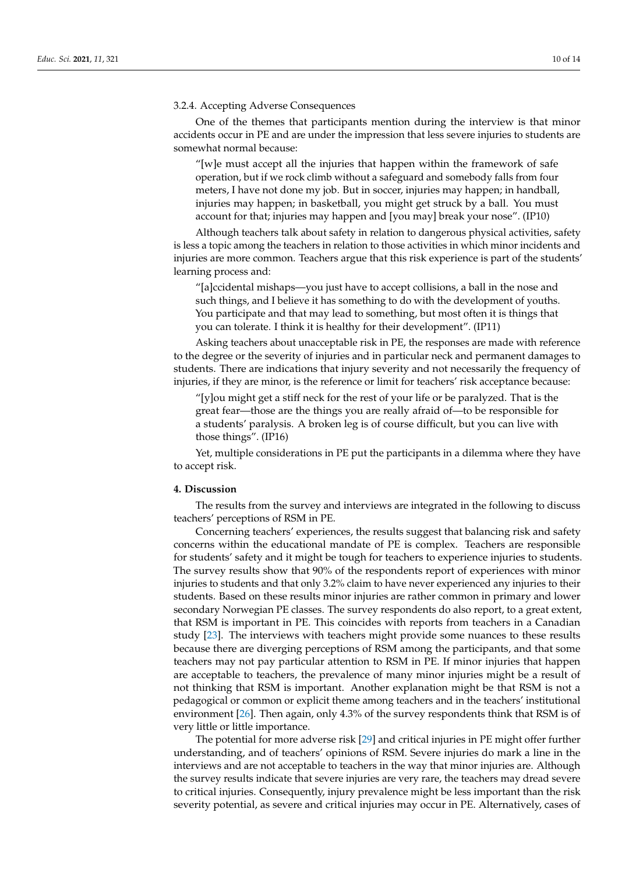## 3.2.4. Accepting Adverse Consequences

One of the themes that participants mention during the interview is that minor accidents occur in PE and are under the impression that less severe injuries to students are somewhat normal because:

"[w]e must accept all the injuries that happen within the framework of safe operation, but if we rock climb without a safeguard and somebody falls from four meters, I have not done my job. But in soccer, injuries may happen; in handball, injuries may happen; in basketball, you might get struck by a ball. You must account for that; injuries may happen and [you may] break your nose". (IP10)

Although teachers talk about safety in relation to dangerous physical activities, safety is less a topic among the teachers in relation to those activities in which minor incidents and injuries are more common. Teachers argue that this risk experience is part of the students' learning process and:

"[a]ccidental mishaps—you just have to accept collisions, a ball in the nose and such things, and I believe it has something to do with the development of youths. You participate and that may lead to something, but most often it is things that you can tolerate. I think it is healthy for their development". (IP11)

Asking teachers about unacceptable risk in PE, the responses are made with reference to the degree or the severity of injuries and in particular neck and permanent damages to students. There are indications that injury severity and not necessarily the frequency of injuries, if they are minor, is the reference or limit for teachers' risk acceptance because:

 $\gamma$ [y]ou might get a stiff neck for the rest of your life or be paralyzed. That is the great fear—those are the things you are really afraid of—to be responsible for a students' paralysis. A broken leg is of course difficult, but you can live with those things". (IP16)

Yet, multiple considerations in PE put the participants in a dilemma where they have to accept risk.

## **4. Discussion**

The results from the survey and interviews are integrated in the following to discuss teachers' perceptions of RSM in PE.

Concerning teachers' experiences, the results suggest that balancing risk and safety concerns within the educational mandate of PE is complex. Teachers are responsible for students' safety and it might be tough for teachers to experience injuries to students. The survey results show that 90% of the respondents report of experiences with minor injuries to students and that only 3.2% claim to have never experienced any injuries to their students. Based on these results minor injuries are rather common in primary and lower secondary Norwegian PE classes. The survey respondents do also report, to a great extent, that RSM is important in PE. This coincides with reports from teachers in a Canadian study [\[23\]](#page-12-19). The interviews with teachers might provide some nuances to these results because there are diverging perceptions of RSM among the participants, and that some teachers may not pay particular attention to RSM in PE. If minor injuries that happen are acceptable to teachers, the prevalence of many minor injuries might be a result of not thinking that RSM is important. Another explanation might be that RSM is not a pedagogical or common or explicit theme among teachers and in the teachers' institutional environment [\[26\]](#page-12-22). Then again, only 4.3% of the survey respondents think that RSM is of very little or little importance.

The potential for more adverse risk [\[29\]](#page-12-24) and critical injuries in PE might offer further understanding, and of teachers' opinions of RSM. Severe injuries do mark a line in the interviews and are not acceptable to teachers in the way that minor injuries are. Although the survey results indicate that severe injuries are very rare, the teachers may dread severe to critical injuries. Consequently, injury prevalence might be less important than the risk severity potential, as severe and critical injuries may occur in PE. Alternatively, cases of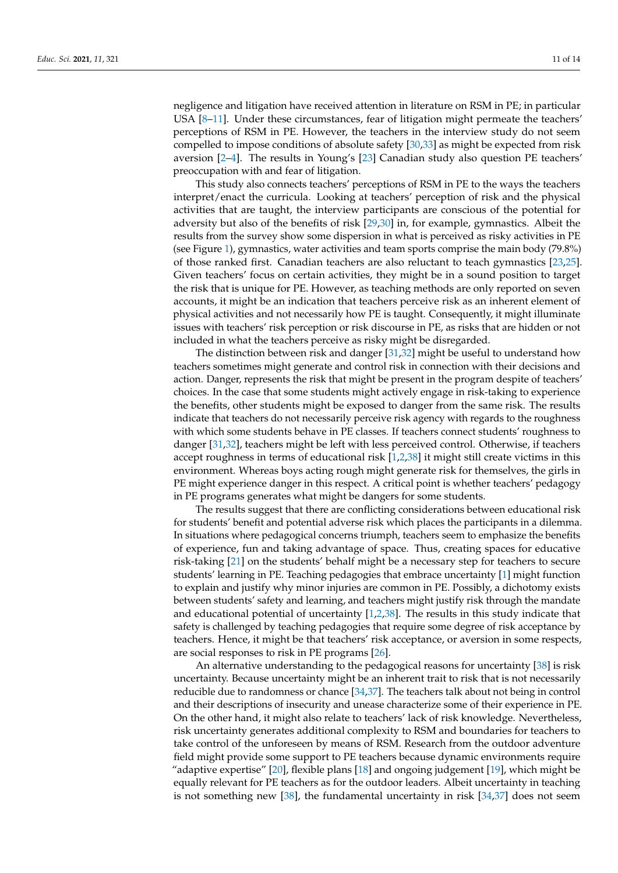negligence and litigation have received attention in literature on RSM in PE; in particular USA [\[8–](#page-12-7)[11\]](#page-12-8). Under these circumstances, fear of litigation might permeate the teachers' perceptions of RSM in PE. However, the teachers in the interview study do not seem compelled to impose conditions of absolute safety [\[30](#page-12-25)[,33\]](#page-12-26) as might be expected from risk aversion [\[2–](#page-12-1)[4\]](#page-12-3). The results in Young's [\[23\]](#page-12-19) Canadian study also question PE teachers' preoccupation with and fear of litigation.

This study also connects teachers' perceptions of RSM in PE to the ways the teachers interpret/enact the curricula. Looking at teachers' perception of risk and the physical activities that are taught, the interview participants are conscious of the potential for adversity but also of the benefits of risk [\[29,](#page-12-24)[30\]](#page-12-25) in, for example, gymnastics. Albeit the results from the survey show some dispersion in what is perceived as risky activities in PE (see Figure [1\)](#page-7-0), gymnastics, water activities and team sports comprise the main body (79.8%) of those ranked first. Canadian teachers are also reluctant to teach gymnastics [\[23,](#page-12-19)[25\]](#page-12-21). Given teachers' focus on certain activities, they might be in a sound position to target the risk that is unique for PE. However, as teaching methods are only reported on seven accounts, it might be an indication that teachers perceive risk as an inherent element of physical activities and not necessarily how PE is taught. Consequently, it might illuminate issues with teachers' risk perception or risk discourse in PE, as risks that are hidden or not included in what the teachers perceive as risky might be disregarded.

The distinction between risk and danger [\[31,](#page-12-27)[32\]](#page-12-28) might be useful to understand how teachers sometimes might generate and control risk in connection with their decisions and action. Danger, represents the risk that might be present in the program despite of teachers' choices. In the case that some students might actively engage in risk-taking to experience the benefits, other students might be exposed to danger from the same risk. The results indicate that teachers do not necessarily perceive risk agency with regards to the roughness with which some students behave in PE classes. If teachers connect students' roughness to danger [\[31](#page-12-27)[,32\]](#page-12-28), teachers might be left with less perceived control. Otherwise, if teachers accept roughness in terms of educational risk [\[1](#page-12-0)[,2,](#page-12-1)[38\]](#page-13-1) it might still create victims in this environment. Whereas boys acting rough might generate risk for themselves, the girls in PE might experience danger in this respect. A critical point is whether teachers' pedagogy in PE programs generates what might be dangers for some students.

The results suggest that there are conflicting considerations between educational risk for students' benefit and potential adverse risk which places the participants in a dilemma. In situations where pedagogical concerns triumph, teachers seem to emphasize the benefits of experience, fun and taking advantage of space. Thus, creating spaces for educative risk-taking [\[21\]](#page-12-17) on the students' behalf might be a necessary step for teachers to secure students' learning in PE. Teaching pedagogies that embrace uncertainty [\[1\]](#page-12-0) might function to explain and justify why minor injuries are common in PE. Possibly, a dichotomy exists between students' safety and learning, and teachers might justify risk through the mandate and educational potential of uncertainty  $[1,2,38]$  $[1,2,38]$  $[1,2,38]$ . The results in this study indicate that safety is challenged by teaching pedagogies that require some degree of risk acceptance by teachers. Hence, it might be that teachers' risk acceptance, or aversion in some respects, are social responses to risk in PE programs [\[26\]](#page-12-22).

An alternative understanding to the pedagogical reasons for uncertainty [\[38\]](#page-13-1) is risk uncertainty. Because uncertainty might be an inherent trait to risk that is not necessarily reducible due to randomness or chance [\[34,](#page-12-29)[37\]](#page-13-0). The teachers talk about not being in control and their descriptions of insecurity and unease characterize some of their experience in PE. On the other hand, it might also relate to teachers' lack of risk knowledge. Nevertheless, risk uncertainty generates additional complexity to RSM and boundaries for teachers to take control of the unforeseen by means of RSM. Research from the outdoor adventure field might provide some support to PE teachers because dynamic environments require "adaptive expertise" [\[20\]](#page-12-16), flexible plans [\[18\]](#page-12-14) and ongoing judgement [\[19\]](#page-12-15), which might be equally relevant for PE teachers as for the outdoor leaders. Albeit uncertainty in teaching is not something new [\[38\]](#page-13-1), the fundamental uncertainty in risk [\[34,](#page-12-29)[37\]](#page-13-0) does not seem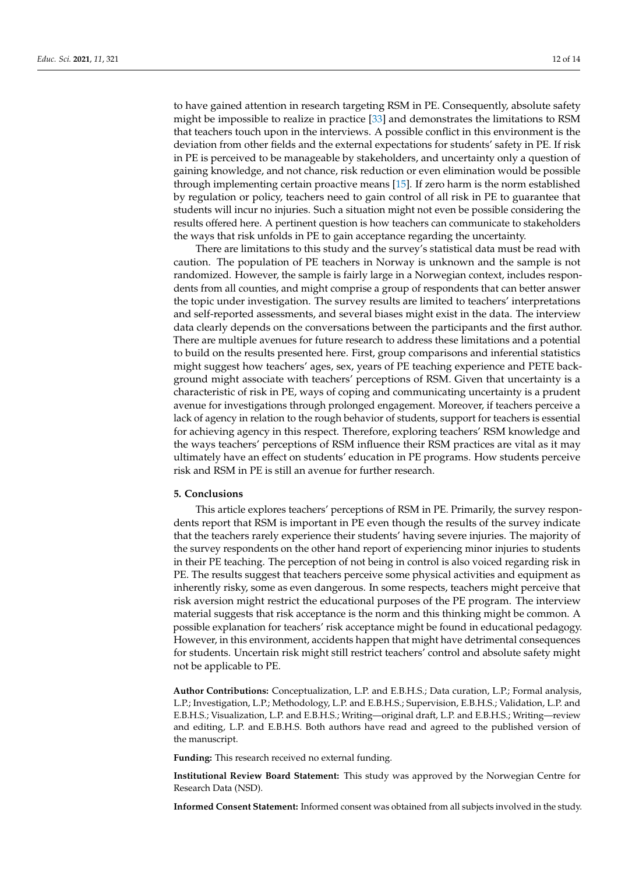to have gained attention in research targeting RSM in PE. Consequently, absolute safety might be impossible to realize in practice [\[33\]](#page-12-26) and demonstrates the limitations to RSM that teachers touch upon in the interviews. A possible conflict in this environment is the deviation from other fields and the external expectations for students' safety in PE. If risk in PE is perceived to be manageable by stakeholders, and uncertainty only a question of gaining knowledge, and not chance, risk reduction or even elimination would be possible through implementing certain proactive means [\[15\]](#page-12-12). If zero harm is the norm established by regulation or policy, teachers need to gain control of all risk in PE to guarantee that students will incur no injuries. Such a situation might not even be possible considering the

the ways that risk unfolds in PE to gain acceptance regarding the uncertainty. There are limitations to this study and the survey's statistical data must be read with caution. The population of PE teachers in Norway is unknown and the sample is not randomized. However, the sample is fairly large in a Norwegian context, includes respondents from all counties, and might comprise a group of respondents that can better answer the topic under investigation. The survey results are limited to teachers' interpretations and self-reported assessments, and several biases might exist in the data. The interview data clearly depends on the conversations between the participants and the first author. There are multiple avenues for future research to address these limitations and a potential to build on the results presented here. First, group comparisons and inferential statistics might suggest how teachers' ages, sex, years of PE teaching experience and PETE background might associate with teachers' perceptions of RSM. Given that uncertainty is a characteristic of risk in PE, ways of coping and communicating uncertainty is a prudent avenue for investigations through prolonged engagement. Moreover, if teachers perceive a lack of agency in relation to the rough behavior of students, support for teachers is essential for achieving agency in this respect. Therefore, exploring teachers' RSM knowledge and the ways teachers' perceptions of RSM influence their RSM practices are vital as it may ultimately have an effect on students' education in PE programs. How students perceive risk and RSM in PE is still an avenue for further research.

results offered here. A pertinent question is how teachers can communicate to stakeholders

#### **5. Conclusions**

This article explores teachers' perceptions of RSM in PE. Primarily, the survey respondents report that RSM is important in PE even though the results of the survey indicate that the teachers rarely experience their students' having severe injuries. The majority of the survey respondents on the other hand report of experiencing minor injuries to students in their PE teaching. The perception of not being in control is also voiced regarding risk in PE. The results suggest that teachers perceive some physical activities and equipment as inherently risky, some as even dangerous. In some respects, teachers might perceive that risk aversion might restrict the educational purposes of the PE program. The interview material suggests that risk acceptance is the norm and this thinking might be common. A possible explanation for teachers' risk acceptance might be found in educational pedagogy. However, in this environment, accidents happen that might have detrimental consequences for students. Uncertain risk might still restrict teachers' control and absolute safety might not be applicable to PE.

**Author Contributions:** Conceptualization, L.P. and E.B.H.S.; Data curation, L.P.; Formal analysis, L.P.; Investigation, L.P.; Methodology, L.P. and E.B.H.S.; Supervision, E.B.H.S.; Validation, L.P. and E.B.H.S.; Visualization, L.P. and E.B.H.S.; Writing—original draft, L.P. and E.B.H.S.; Writing—review and editing, L.P. and E.B.H.S. Both authors have read and agreed to the published version of the manuscript.

**Funding:** This research received no external funding.

**Institutional Review Board Statement:** This study was approved by the Norwegian Centre for Research Data (NSD).

**Informed Consent Statement:** Informed consent was obtained from all subjects involved in the study.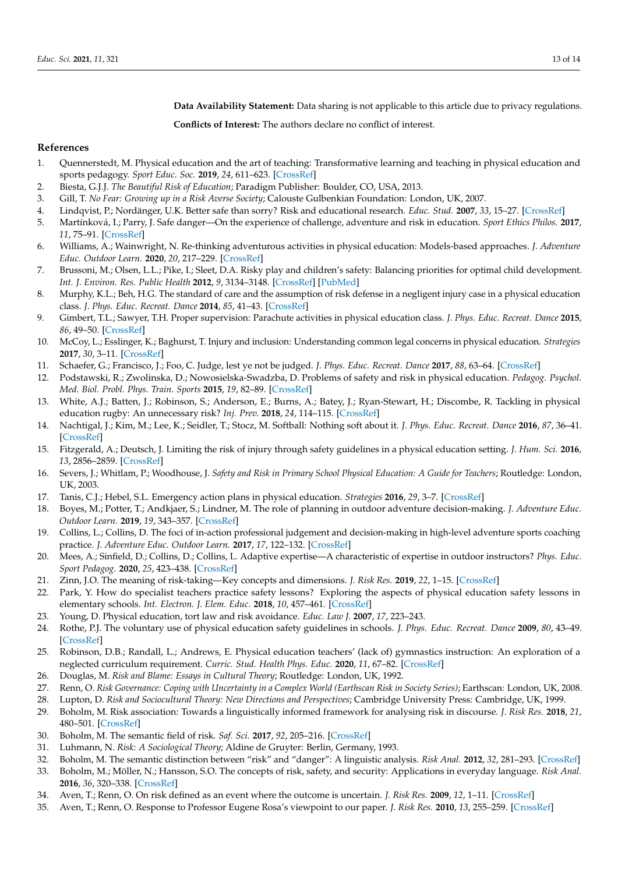**Data Availability Statement:** Data sharing is not applicable to this article due to privacy regulations.

**Conflicts of Interest:** The authors declare no conflict of interest.

## **References**

- <span id="page-12-0"></span>1. Quennerstedt, M. Physical education and the art of teaching: Transformative learning and teaching in physical education and sports pedagogy. *Sport Educ. Soc.* **2019**, *24*, 611–623. [\[CrossRef\]](http://doi.org/10.1080/13573322.2019.1574731)
- <span id="page-12-1"></span>2. Biesta, G.J.J. *The Beautiful Risk of Education*; Paradigm Publisher: Boulder, CO, USA, 2013.
- <span id="page-12-2"></span>3. Gill, T. *No Fear: Growing up in a Risk Averse Society*; Calouste Gulbenkian Foundation: London, UK, 2007.
- <span id="page-12-3"></span>4. Lindqvist, P.; Nordänger, U.K. Better safe than sorry? Risk and educational research. *Educ. Stud.* **2007**, *33*, 15–27. [\[CrossRef\]](http://doi.org/10.1080/03055690600948125)
- <span id="page-12-4"></span>5. Martínková, I.; Parry, J. Safe danger—On the experience of challenge, adventure and risk in education. *Sport Ethics Philos.* **2017**, *11*, 75–91. [\[CrossRef\]](http://doi.org/10.1080/17511321.2017.1292308)
- <span id="page-12-5"></span>6. Williams, A.; Wainwright, N. Re-thinking adventurous activities in physical education: Models-based approaches. *J. Adventure Educ. Outdoor Learn.* **2020**, *20*, 217–229. [\[CrossRef\]](http://doi.org/10.1080/14729679.2019.1634599)
- <span id="page-12-6"></span>7. Brussoni, M.; Olsen, L.L.; Pike, I.; Sleet, D.A. Risky play and children's safety: Balancing priorities for optimal child development. *Int. J. Environ. Res. Public Health* **2012**, *9*, 3134–3148. [\[CrossRef\]](http://doi.org/10.3390/ijerph9093134) [\[PubMed\]](http://www.ncbi.nlm.nih.gov/pubmed/23202675)
- <span id="page-12-7"></span>8. Murphy, K.L.; Beh, H.G. The standard of care and the assumption of risk defense in a negligent injury case in a physical education class. *J. Phys. Educ. Recreat. Dance* **2014**, *85*, 41–43. [\[CrossRef\]](http://doi.org/10.1080/07303084.2014.946836)
- 9. Gimbert, T.L.; Sawyer, T.H. Proper supervision: Parachute activities in physical education class. *J. Phys. Educ. Recreat. Dance* **2015**, *86*, 49–50. [\[CrossRef\]](http://doi.org/10.1080/07303084.2015.998551)
- 10. McCoy, L.; Esslinger, K.; Baghurst, T. Injury and inclusion: Understanding common legal concerns in physical education. *Strategies* **2017**, *30*, 3–11. [\[CrossRef\]](http://doi.org/10.1080/08924562.2017.1344170)
- <span id="page-12-8"></span>11. Schaefer, G.; Francisco, J.; Foo, C. Judge, lest ye not be judged. *J. Phys. Educ. Recreat. Dance* **2017**, *88*, 63–64. [\[CrossRef\]](http://doi.org/10.1080/07303084.2016.1249772)
- <span id="page-12-9"></span>12. Podstawski, R.; Zwolinska, D.; Nowosielska-Swadzba, D. Problems of safety and risk in physical education. *Pedagog. Psychol. Med. Biol. Probl. Phys. Train. Sports* **2015**, *19*, 82–89. [\[CrossRef\]](http://doi.org/10.15561/18189172.2015.1013)
- <span id="page-12-10"></span>13. White, A.J.; Batten, J.; Robinson, S.; Anderson, E.; Burns, A.; Batey, J.; Ryan-Stewart, H.; Discombe, R. Tackling in physical education rugby: An unnecessary risk? *Inj. Prev.* **2018**, *24*, 114–115. [\[CrossRef\]](http://doi.org/10.1136/injuryprev-2017-042672)
- <span id="page-12-11"></span>14. Nachtigal, J.; Kim, M.; Lee, K.; Seidler, T.; Stocz, M. Softball: Nothing soft about it. *J. Phys. Educ. Recreat. Dance* **2016**, *87*, 36–41. [\[CrossRef\]](http://doi.org/10.1080/07303084.2016.1226220)
- <span id="page-12-12"></span>15. Fitzgerald, A.; Deutsch, J. Limiting the risk of injury through safety guidelines in a physical education setting. *J. Hum. Sci.* **2016**, *13*, 2856–2859. [\[CrossRef\]](http://doi.org/10.14687/jhs.v13i2.3783)
- 16. Severs, J.; Whitlam, P.; Woodhouse, J. *Safety and Risk in Primary School Physical Education: A Guide for Teachers*; Routledge: London, UK, 2003.
- <span id="page-12-13"></span>17. Tanis, C.J.; Hebel, S.L. Emergency action plans in physical education. *Strategies* **2016**, *29*, 3–7. [\[CrossRef\]](http://doi.org/10.1080/08924562.2016.1181589)
- <span id="page-12-14"></span>18. Boyes, M.; Potter, T.; Andkjaer, S.; Lindner, M. The role of planning in outdoor adventure decision-making. *J. Adventure Educ. Outdoor Learn.* **2019**, *19*, 343–357. [\[CrossRef\]](http://doi.org/10.1080/14729679.2018.1548364)
- <span id="page-12-15"></span>19. Collins, L.; Collins, D. The foci of in-action professional judgement and decision-making in high-level adventure sports coaching practice. *J. Adventure Educ. Outdoor Learn.* **2017**, *17*, 122–132. [\[CrossRef\]](http://doi.org/10.1080/14729679.2016.1227717)
- <span id="page-12-16"></span>20. Mees, A.; Sinfield, D.; Collins, D.; Collins, L. Adaptive expertise—A characteristic of expertise in outdoor instructors? *Phys. Educ. Sport Pedagog.* **2020**, *25*, 423–438. [\[CrossRef\]](http://doi.org/10.1080/17408989.2020.1727870)
- <span id="page-12-17"></span>21. Zinn, J.O. The meaning of risk-taking—Key concepts and dimensions. *J. Risk Res.* **2019**, *22*, 1–15. [\[CrossRef\]](http://doi.org/10.1080/13669877.2017.1351465)
- <span id="page-12-18"></span>22. Park, Y. How do specialist teachers practice safety lessons? Exploring the aspects of physical education safety lessons in elementary schools. *Int. Electron. J. Elem. Educ.* **2018**, *10*, 457–461. [\[CrossRef\]](http://doi.org/10.26822/iejee.2018438136)
- <span id="page-12-19"></span>23. Young, D. Physical education, tort law and risk avoidance. *Educ. Law J.* **2007**, *17*, 223–243.
- <span id="page-12-20"></span>24. Rothe, P.J. The voluntary use of physical education safety guidelines in schools. *J. Phys. Educ. Recreat. Dance* **2009**, *80*, 43–49. [\[CrossRef\]](http://doi.org/10.1080/07303084.2009.10598296)
- <span id="page-12-21"></span>25. Robinson, D.B.; Randall, L.; Andrews, E. Physical education teachers' (lack of) gymnastics instruction: An exploration of a neglected curriculum requirement. *Curric. Stud. Health Phys. Educ.* **2020**, *11*, 67–82. [\[CrossRef\]](http://doi.org/10.1080/25742981.2020.1715232)
- <span id="page-12-22"></span>26. Douglas, M. *Risk and Blame: Essays in Cultural Theory*; Routledge: London, UK, 1992.
- <span id="page-12-30"></span>27. Renn, O. *Risk Governance: Coping with Uncertainty in a Complex World (Earthscan Risk in Society Series)*; Earthscan: London, UK, 2008.
- <span id="page-12-23"></span>28. Lupton, D. *Risk and Sociocultural Theory: New Directions and Perspectives*; Cambridge University Press: Cambridge, UK, 1999.
- <span id="page-12-24"></span>29. Boholm, M. Risk association: Towards a linguistically informed framework for analysing risk in discourse. *J. Risk Res.* **2018**, *21*, 480–501. [\[CrossRef\]](http://doi.org/10.1080/13669877.2016.1223158)
- <span id="page-12-25"></span>30. Boholm, M. The semantic field of risk. *Saf. Sci.* **2017**, *92*, 205–216. [\[CrossRef\]](http://doi.org/10.1016/j.ssci.2016.10.011)
- <span id="page-12-27"></span>31. Luhmann, N. *Risk: A Sociological Theory*; Aldine de Gruyter: Berlin, Germany, 1993.
- <span id="page-12-28"></span>32. Boholm, M. The semantic distinction between "risk" and "danger": A linguistic analysis. *Risk Anal.* **2012**, *32*, 281–293. [\[CrossRef\]](http://doi.org/10.1111/j.1539-6924.2011.01668.x)
- <span id="page-12-26"></span>33. Boholm, M.; Möller, N.; Hansson, S.O. The concepts of risk, safety, and security: Applications in everyday language. *Risk Anal.* **2016**, *36*, 320–338. [\[CrossRef\]](http://doi.org/10.1111/risa.12464)
- <span id="page-12-29"></span>34. Aven, T.; Renn, O. On risk defined as an event where the outcome is uncertain. *J. Risk Res.* **2009**, *12*, 1–11. [\[CrossRef\]](http://doi.org/10.1080/13669870802488883)
- 35. Aven, T.; Renn, O. Response to Professor Eugene Rosa's viewpoint to our paper. *J. Risk Res.* **2010**, *13*, 255–259. [\[CrossRef\]](http://doi.org/10.1080/13669870903484369)